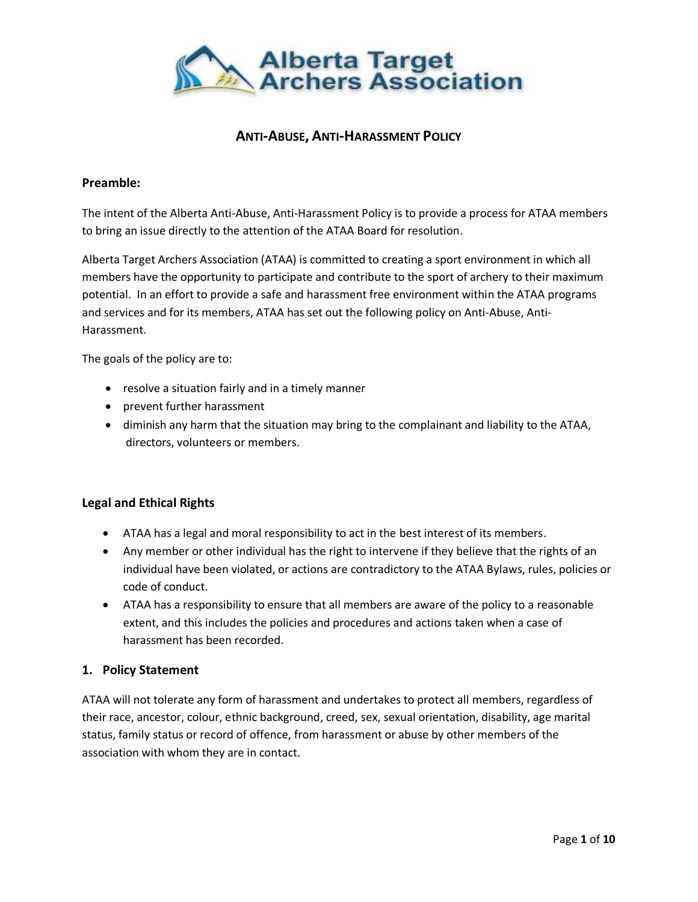

# **ANTI-ABUSE, ANTI-HARASSMENT POLICY**

#### **Preamble:**

The intent of the Alberta Anti-Abuse, Anti-Harassment Policy is to provide a process for ATAA members to bring an issue directly to the attention of the ATAA Board for resolution.

Alberta Target Archers Association (ATAA) is committed to creating a sport environment in which all members have the opportunity to participate and contribute to the sport of archery to their maximum potential. In an effort to provide a safe and harassment free environment within the ATAA programs and services and for its members, ATAA has set out the following policy on Anti-Abuse, Anti-Harassment.

The goals of the policy are to:

- resolve a situation fairly and in a timely manner
- prevent further harassment
- diminish any harm that the situation may bring to the complainant and liability to the ATAA, directors, volunteers or members.

## **Legal and Ethical Rights**

- ATAA has a legal and moral responsibility to act in the best interest of its members.
- Any member or other individual has the right to intervene if they believe that the rights of an individual have been violated, or actions are contradictory to the ATAA Bylaws, rules, policies or code of conduct.
- ATAA has a responsibility to ensure that all members are aware of the policy to a reasonable extent, and this includes the policies and procedures and actions taken when a case of harassment has been recorded.

#### **1. Policy Statement**

ATAA will not tolerate any form of harassment and undertakes to protect all members, regardless of their race, ancestor, colour, ethnic background, creed, sex, sexual orientation, disability, age marital status, family status or record of offence, from harassment or abuse by other members of the association with whom they are in contact.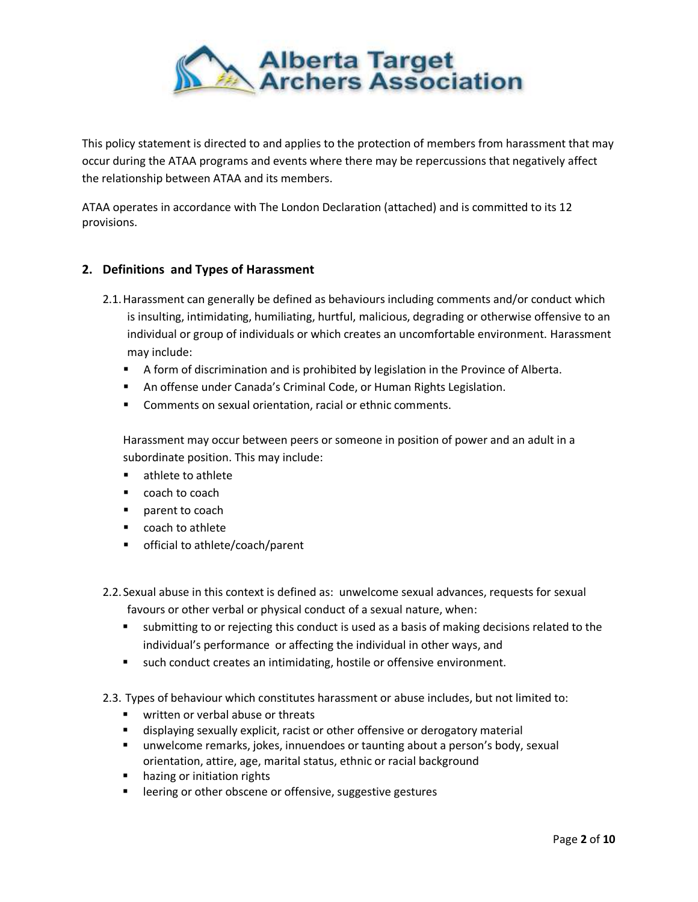

This policy statement is directed to and applies to the protection of members from harassment that may occur during the ATAA programs and events where there may be repercussions that negatively affect the relationship between ATAA and its members.

ATAA operates in accordance with The London Declaration (attached) and is committed to its 12 provisions.

## **2. Definitions and Types of Harassment**

- 2.1.Harassment can generally be defined as behaviours including comments and/or conduct which is insulting, intimidating, humiliating, hurtful, malicious, degrading or otherwise offensive to an individual or group of individuals or which creates an uncomfortable environment. Harassment may include:
	- **A** form of discrimination and is prohibited by legislation in the Province of Alberta.
	- An offense under Canada's Criminal Code, or Human Rights Legislation.
	- Comments on sexual orientation, racial or ethnic comments.

Harassment may occur between peers or someone in position of power and an adult in a subordinate position. This may include:

- **E** athlete to athlete
- coach to coach
- **P** parent to coach
- coach to athlete
- **•** official to athlete/coach/parent
- 2.2. Sexual abuse in this context is defined as: unwelcome sexual advances, requests for sexual favours or other verbal or physical conduct of a sexual nature, when:
	- submitting to or rejecting this conduct is used as a basis of making decisions related to the individual's performance or affecting the individual in other ways, and
	- such conduct creates an intimidating, hostile or offensive environment.
- 2.3. Types of behaviour which constitutes harassment or abuse includes, but not limited to:
	- **written or verbal abuse or threats**
	- displaying sexually explicit, racist or other offensive or derogatory material
	- unwelcome remarks, jokes, innuendoes or taunting about a person's body, sexual orientation, attire, age, marital status, ethnic or racial background
	- **•** hazing or initiation rights
	- **EXECTE:** leering or other obscene or offensive, suggestive gestures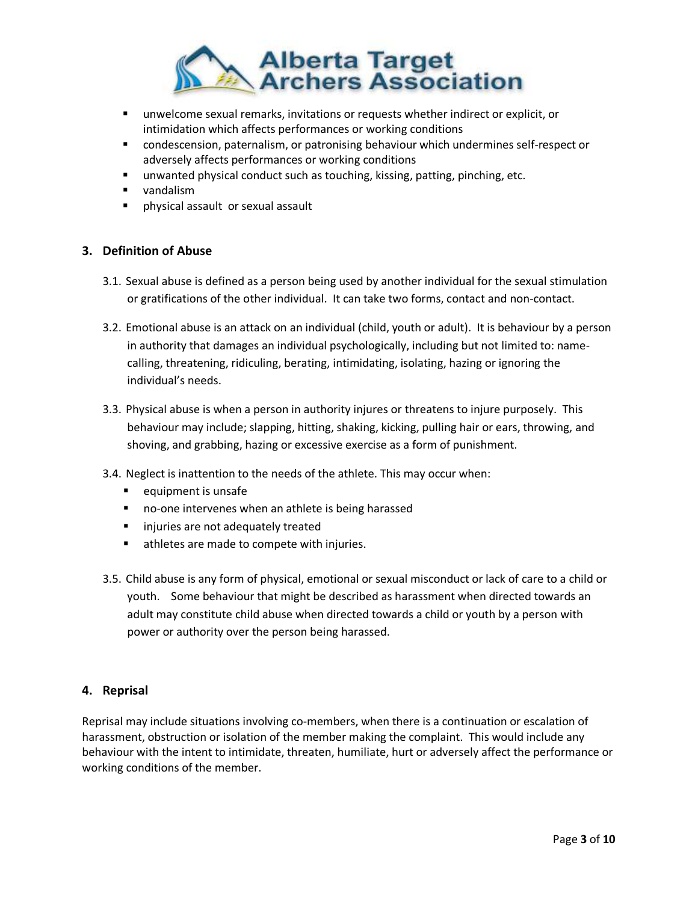

- unwelcome sexual remarks, invitations or requests whether indirect or explicit, or intimidation which affects performances or working conditions
- condescension, paternalism, or patronising behaviour which undermines self-respect or adversely affects performances or working conditions
- **unwanted physical conduct such as touching, kissing, patting, pinching, etc.**
- **vandalism**
- physical assault or sexual assault

## **3. Definition of Abuse**

- 3.1. Sexual abuse is defined as a person being used by another individual for the sexual stimulation or gratifications of the other individual. It can take two forms, contact and non-contact.
- 3.2. Emotional abuse is an attack on an individual (child, youth or adult). It is behaviour by a person in authority that damages an individual psychologically, including but not limited to: namecalling, threatening, ridiculing, berating, intimidating, isolating, hazing or ignoring the individual's needs.
- 3.3. Physical abuse is when a person in authority injures or threatens to injure purposely. This behaviour may include; slapping, hitting, shaking, kicking, pulling hair or ears, throwing, and shoving, and grabbing, hazing or excessive exercise as a form of punishment.
- 3.4. Neglect is inattention to the needs of the athlete. This may occur when:
	- **equipment is unsafe**
	- no-one intervenes when an athlete is being harassed
	- **I** injuries are not adequately treated
	- **EXEC** athletes are made to compete with injuries.
- 3.5. Child abuse is any form of physical, emotional or sexual misconduct or lack of care to a child or youth. Some behaviour that might be described as harassment when directed towards an adult may constitute child abuse when directed towards a child or youth by a person with power or authority over the person being harassed.

#### **4. Reprisal**

Reprisal may include situations involving co-members, when there is a continuation or escalation of harassment, obstruction or isolation of the member making the complaint. This would include any behaviour with the intent to intimidate, threaten, humiliate, hurt or adversely affect the performance or working conditions of the member.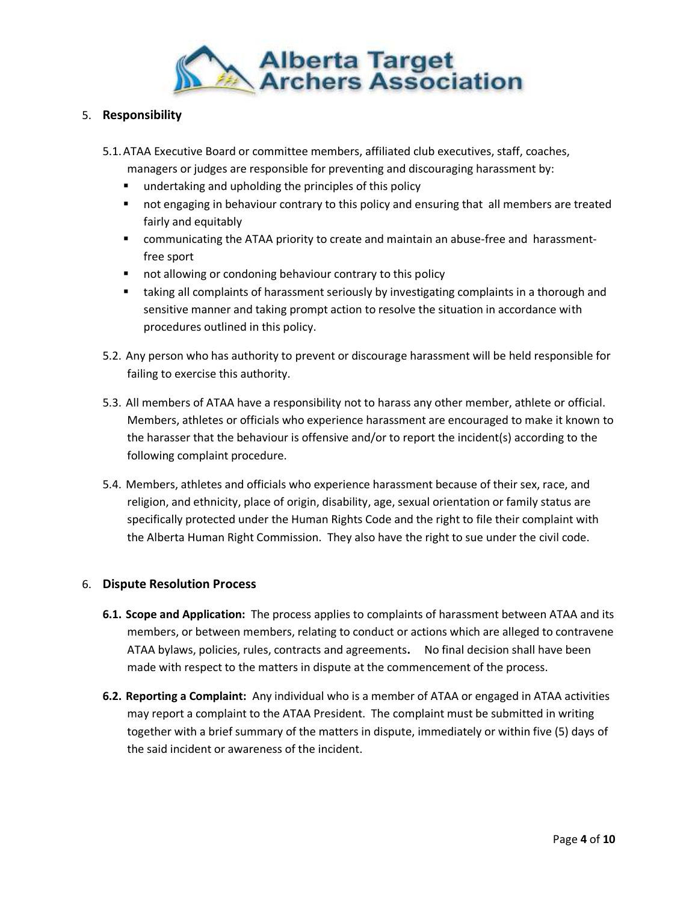

### 5. **Responsibility**

- 5.1.ATAA Executive Board or committee members, affiliated club executives, staff, coaches, managers or judges are responsible for preventing and discouraging harassment by:
	- **undertaking and upholding the principles of this policy**
	- **•** not engaging in behaviour contrary to this policy and ensuring that all members are treated fairly and equitably
	- communicating the ATAA priority to create and maintain an abuse-free and harassmentfree sport
	- **not allowing or condoning behaviour contrary to this policy**
	- **that** taking all complaints of harassment seriously by investigating complaints in a thorough and sensitive manner and taking prompt action to resolve the situation in accordance with procedures outlined in this policy.
- 5.2. Any person who has authority to prevent or discourage harassment will be held responsible for failing to exercise this authority.
- 5.3. All members of ATAA have a responsibility not to harass any other member, athlete or official. Members, athletes or officials who experience harassment are encouraged to make it known to the harasser that the behaviour is offensive and/or to report the incident(s) according to the following complaint procedure.
- 5.4. Members, athletes and officials who experience harassment because of their sex, race, and religion, and ethnicity, place of origin, disability, age, sexual orientation or family status are specifically protected under the Human Rights Code and the right to file their complaint with the Alberta Human Right Commission. They also have the right to sue under the civil code.

## 6. **Dispute Resolution Process**

- **6.1. Scope and Application:** The process applies to complaints of harassment between ATAA and its members, or between members, relating to conduct or actions which are alleged to contravene ATAA bylaws, policies, rules, contracts and agreements**.** No final decision shall have been made with respect to the matters in dispute at the commencement of the process.
- **6.2. Reporting a Complaint:** Any individual who is a member of ATAA or engaged in ATAA activities may report a complaint to the ATAA President. The complaint must be submitted in writing together with a brief summary of the matters in dispute, immediately or within five (5) days of the said incident or awareness of the incident.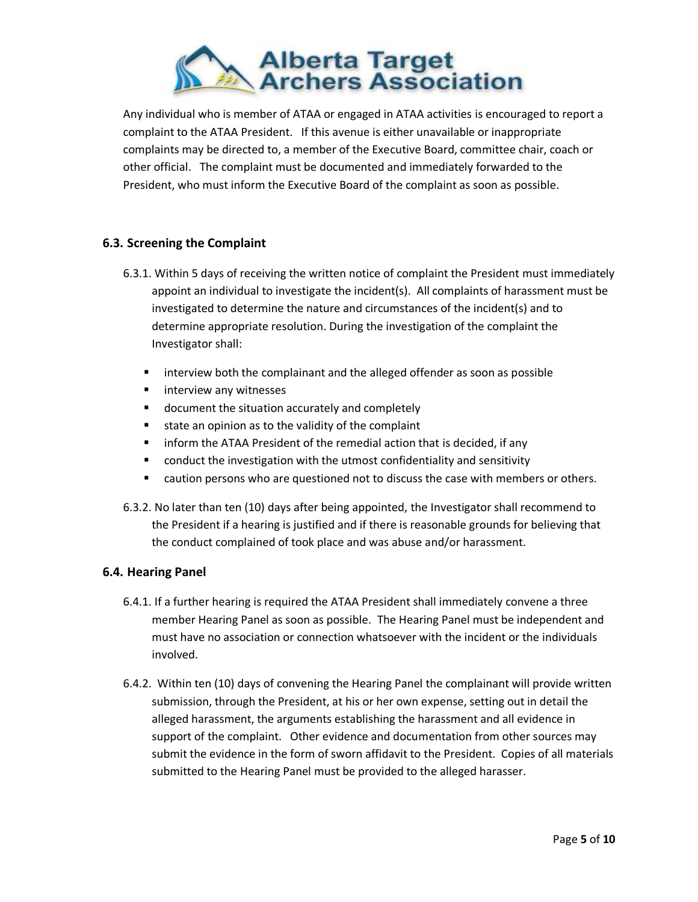

Any individual who is member of ATAA or engaged in ATAA activities is encouraged to report a complaint to the ATAA President. If this avenue is either unavailable or inappropriate complaints may be directed to, a member of the Executive Board, committee chair, coach or other official. The complaint must be documented and immediately forwarded to the President, who must inform the Executive Board of the complaint as soon as possible.

## **6.3. Screening the Complaint**

- 6.3.1. Within 5 days of receiving the written notice of complaint the President must immediately appoint an individual to investigate the incident(s). All complaints of harassment must be investigated to determine the nature and circumstances of the incident(s) and to determine appropriate resolution. During the investigation of the complaint the Investigator shall:
	- **If interview both the complainant and the alleged offender as soon as possible**
	- **EXECUTE:** interview any witnesses
	- **document the situation accurately and completely**
	- state an opinion as to the validity of the complaint
	- **F** inform the ATAA President of the remedial action that is decided, if any
	- conduct the investigation with the utmost confidentiality and sensitivity
	- caution persons who are questioned not to discuss the case with members or others.
- 6.3.2. No later than ten (10) days after being appointed, the Investigator shall recommend to the President if a hearing is justified and if there is reasonable grounds for believing that the conduct complained of took place and was abuse and/or harassment.

#### **6.4. Hearing Panel**

- 6.4.1. If a further hearing is required the ATAA President shall immediately convene a three member Hearing Panel as soon as possible. The Hearing Panel must be independent and must have no association or connection whatsoever with the incident or the individuals involved.
- 6.4.2. Within ten (10) days of convening the Hearing Panel the complainant will provide written submission, through the President, at his or her own expense, setting out in detail the alleged harassment, the arguments establishing the harassment and all evidence in support of the complaint. Other evidence and documentation from other sources may submit the evidence in the form of sworn affidavit to the President. Copies of all materials submitted to the Hearing Panel must be provided to the alleged harasser.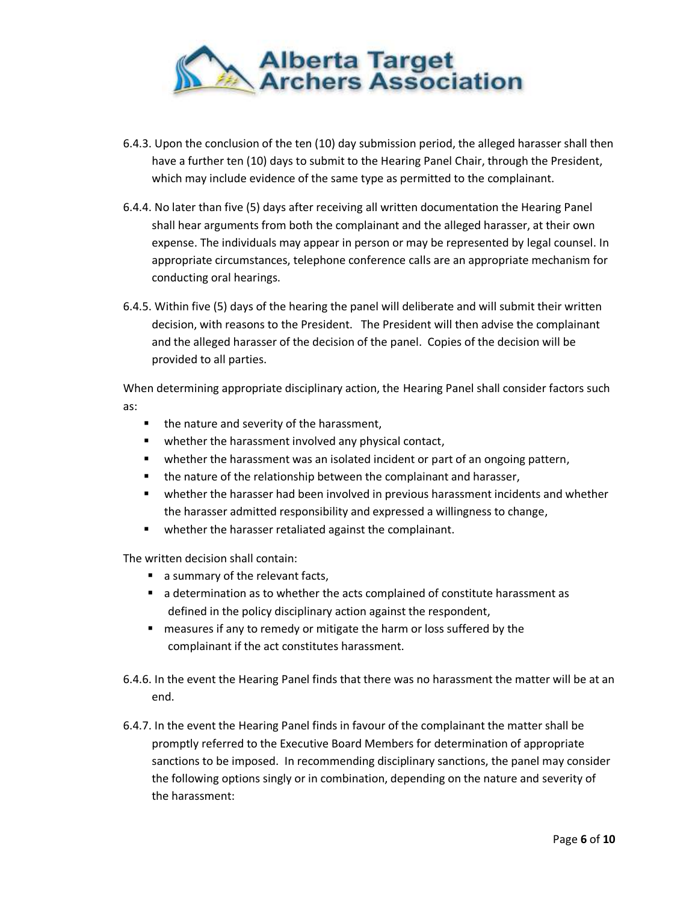

- 6.4.3. Upon the conclusion of the ten (10) day submission period, the alleged harasser shall then have a further ten (10) days to submit to the Hearing Panel Chair, through the President, which may include evidence of the same type as permitted to the complainant.
- 6.4.4. No later than five (5) days after receiving all written documentation the Hearing Panel shall hear arguments from both the complainant and the alleged harasser, at their own expense. The individuals may appear in person or may be represented by legal counsel. In appropriate circumstances, telephone conference calls are an appropriate mechanism for conducting oral hearings.
- 6.4.5. Within five (5) days of the hearing the panel will deliberate and will submit their written decision, with reasons to the President. The President will then advise the complainant and the alleged harasser of the decision of the panel. Copies of the decision will be provided to all parties.

When determining appropriate disciplinary action, the Hearing Panel shall consider factors such as:

- the nature and severity of the harassment,
- **•** whether the harassment involved any physical contact,
- whether the harassment was an isolated incident or part of an ongoing pattern,
- the nature of the relationship between the complainant and harasser,
- whether the harasser had been involved in previous harassment incidents and whether the harasser admitted responsibility and expressed a willingness to change,
- **•** whether the harasser retaliated against the complainant.

The written decision shall contain:

- a summary of the relevant facts,
- a determination as to whether the acts complained of constitute harassment as defined in the policy disciplinary action against the respondent,
- **numbary is ally thata)** Theorasures if any to remedy or mitigate the harm or loss suffered by the complainant if the act constitutes harassment.
- 6.4.6. In the event the Hearing Panel finds that there was no harassment the matter will be at an end.
- 6.4.7. In the event the Hearing Panel finds in favour of the complainant the matter shall be promptly referred to the Executive Board Members for determination of appropriate sanctions to be imposed. In recommending disciplinary sanctions, the panel may consider the following options singly or in combination, depending on the nature and severity of the harassment: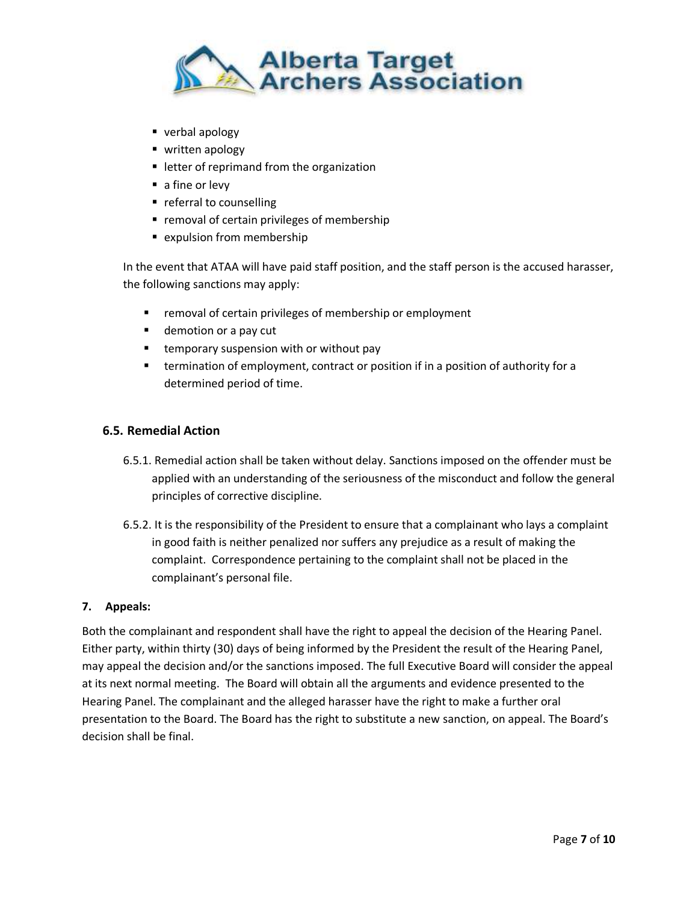

- verbal apology
- written apology
- **E** letter of reprimand from the organization
- a fine or levy
- **•** referral to counselling
- **F** removal of certain privileges of membership
- **Expulsion from membership**

In the event that ATAA will have paid staff position, and the staff person is the accused harasser, the following sanctions may apply:

- **F** removal of certain privileges of membership or employment
- **demotion or a pay cut**
- **temporary suspension with or without pay**
- **EXECT** termination of employment, contract or position if in a position of authority for a determined period of time.

#### **6.5. Remedial Action**

- 6.5.1. Remedial action shall be taken without delay. Sanctions imposed on the offender must be applied with an understanding of the seriousness of the misconduct and follow the general principles of corrective discipline.
- 6.5.2. It is the responsibility of the President to ensure that a complainant who lays a complaint in good faith is neither penalized nor suffers any prejudice as a result of making the complaint. Correspondence pertaining to the complaint shall not be placed in the complainant's personal file.

#### **7. Appeals:**

Both the complainant and respondent shall have the right to appeal the decision of the Hearing Panel. Either party, within thirty (30) days of being informed by the President the result of the Hearing Panel, may appeal the decision and/or the sanctions imposed. The full Executive Board will consider the appeal at its next normal meeting. The Board will obtain all the arguments and evidence presented to the Hearing Panel. The complainant and the alleged harasser have the right to make a further oral presentation to the Board. The Board has the right to substitute a new sanction, on appeal. The Board's decision shall be final.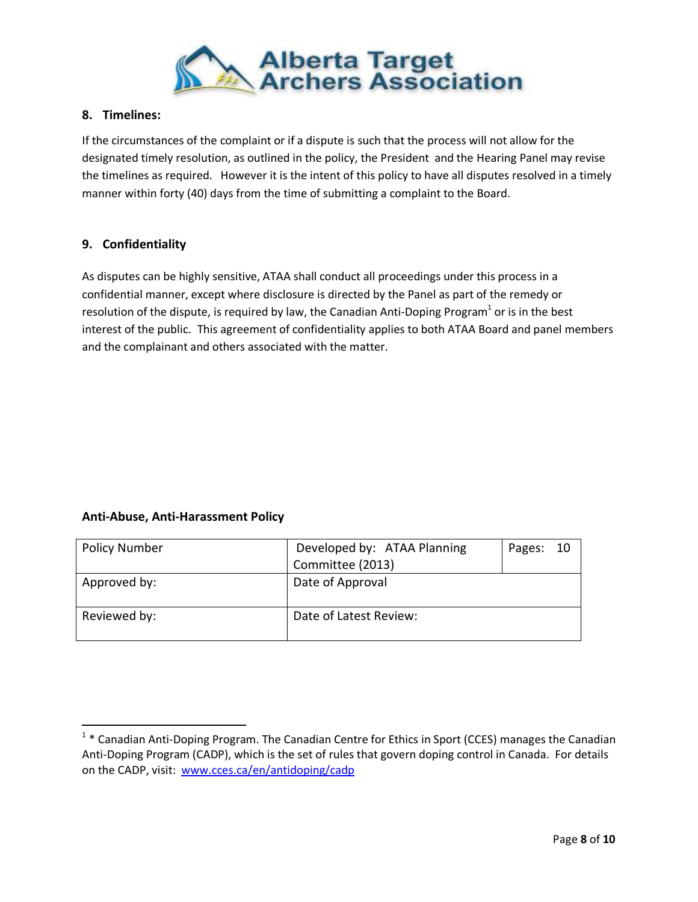

## **8. Timelines:**

If the circumstances of the complaint or if a dispute is such that the process will not allow for the designated timely resolution, as outlined in the policy, the President and the Hearing Panel may revise the timelines as required. However it is the intent of this policy to have all disputes resolved in a timely manner within forty (40) days from the time of submitting a complaint to the Board.

## **9. Confidentiality**

As disputes can be highly sensitive, ATAA shall conduct all proceedings under this process in a confidential manner, except where disclosure is directed by the Panel as part of the remedy or resolution of the dispute, is required by law, the [Canadian Anti-Doping Program](http://www.cces.ca/en/files-35)<sup>1</sup> or is in the best interest of the public. This agreement of confidentiality applies to both ATAA Board and panel members and the complainant and others associated with the matter.

#### **Anti-Abuse, Anti-Harassment Policy**

 $\overline{a}$ 

| <b>Policy Number</b> | Developed by: ATAA Planning<br>Committee (2013) | Pages: 10 |  |
|----------------------|-------------------------------------------------|-----------|--|
|                      |                                                 |           |  |
| Approved by:         | Date of Approval                                |           |  |
| Reviewed by:         | Date of Latest Review:                          |           |  |

<sup>&</sup>lt;sup>1</sup> \* [Canadian Anti-Doping Program.](http://www.cces.ca/en/files-35) The Canadian Centre for Ethics in Sport (CCES) manages the Canadian Anti-Doping Program (CADP), which is the set of rules that govern doping control in Canada. For details on the CADP, visit: [www.cces.ca/en/antidoping/cadp](http://www.cces.ca/en/antidoping/cadp)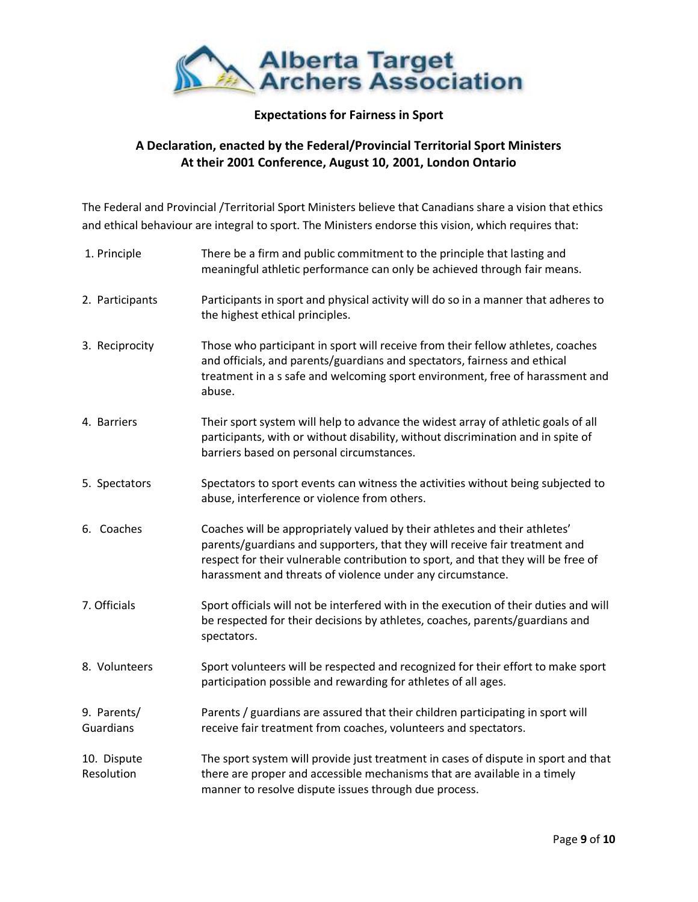

# **Expectations for Fairness in Sport**

# **A Declaration, enacted by the Federal/Provincial Territorial Sport Ministers At their 2001 Conference, August 10, 2001, London Ontario**

The Federal and Provincial /Territorial Sport Ministers believe that Canadians share a vision that ethics and ethical behaviour are integral to sport. The Ministers endorse this vision, which requires that:

| 1. Principle              | There be a firm and public commitment to the principle that lasting and<br>meaningful athletic performance can only be achieved through fair means.                                                                                                                                                          |
|---------------------------|--------------------------------------------------------------------------------------------------------------------------------------------------------------------------------------------------------------------------------------------------------------------------------------------------------------|
| 2. Participants           | Participants in sport and physical activity will do so in a manner that adheres to<br>the highest ethical principles.                                                                                                                                                                                        |
| 3. Reciprocity            | Those who participant in sport will receive from their fellow athletes, coaches<br>and officials, and parents/guardians and spectators, fairness and ethical<br>treatment in a s safe and welcoming sport environment, free of harassment and<br>abuse.                                                      |
| 4. Barriers               | Their sport system will help to advance the widest array of athletic goals of all<br>participants, with or without disability, without discrimination and in spite of<br>barriers based on personal circumstances.                                                                                           |
| 5. Spectators             | Spectators to sport events can witness the activities without being subjected to<br>abuse, interference or violence from others.                                                                                                                                                                             |
| 6. Coaches                | Coaches will be appropriately valued by their athletes and their athletes'<br>parents/guardians and supporters, that they will receive fair treatment and<br>respect for their vulnerable contribution to sport, and that they will be free of<br>harassment and threats of violence under any circumstance. |
| 7. Officials              | Sport officials will not be interfered with in the execution of their duties and will<br>be respected for their decisions by athletes, coaches, parents/guardians and<br>spectators.                                                                                                                         |
| 8. Volunteers             | Sport volunteers will be respected and recognized for their effort to make sport<br>participation possible and rewarding for athletes of all ages.                                                                                                                                                           |
| 9. Parents/<br>Guardians  | Parents / guardians are assured that their children participating in sport will<br>receive fair treatment from coaches, volunteers and spectators.                                                                                                                                                           |
| 10. Dispute<br>Resolution | The sport system will provide just treatment in cases of dispute in sport and that<br>there are proper and accessible mechanisms that are available in a timely<br>manner to resolve dispute issues through due process.                                                                                     |